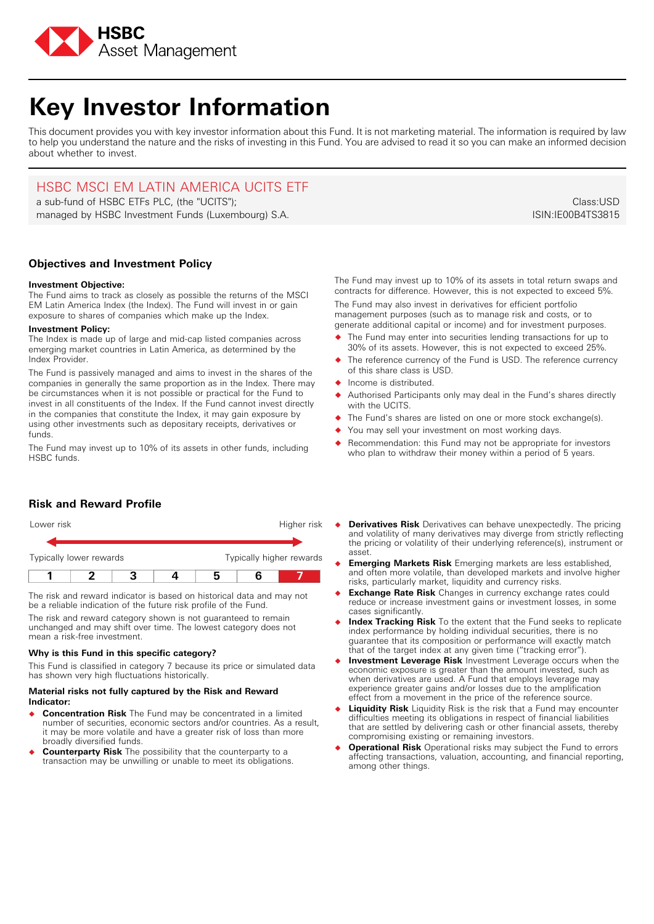

# **Key Investor Information**

This document provides you with key investor information about this Fund. It is not marketing material. The information is required by law to help you understand the nature and the risks of investing in this Fund. You are advised to read it so you can make an informed decision about whether to invest.

## HSBC MSCI EM LATIN AMERICA UCITS ETF

a sub-fund of HSBC ETFs PLC, (the "UCITS"); managed by HSBC Investment Funds (Luxembourg) S.A.

**Objectives and Investment Policy**

## **Investment Objective:**

The Fund aims to track as closely as possible the returns of the MSCI EM Latin America Index (the Index). The Fund will invest in or gain exposure to shares of companies which make up the Index.

## **Investment Policy:**

The Index is made up of large and mid-cap listed companies across emerging market countries in Latin America, as determined by the Index Provider.

The Fund is passively managed and aims to invest in the shares of the companies in generally the same proportion as in the Index. There may be circumstances when it is not possible or practical for the Fund to invest in all constituents of the Index. If the Fund cannot invest directly in the companies that constitute the Index, it may gain exposure by using other investments such as depositary receipts, derivatives or funds.

The Fund may invest up to 10% of its assets in other funds, including HSBC funds.

**Risk and Reward Profile**

| Typically lower rewards  |  |  |
|--------------------------|--|--|
| Typically higher rewards |  |  |

The risk and reward indicator is based on historical data and may not be a reliable indication of the future risk profile of the Fund.

The risk and reward category shown is not guaranteed to remain unchanged and may shift over time. The lowest category does not mean a risk-free investment.

## **Why is this Fund in this specific category?**

This Fund is classified in category 7 because its price or simulated data has shown very high fluctuations historically.

### **Material risks not fully captured by the Risk and Reward Indicator:**

- � **Concentration Risk** The Fund may be concentrated in a limited number of securities, economic sectors and/or countries. As a result, it may be more volatile and have a greater risk of loss than more broadly diversified funds.
- **Counterparty Risk** The possibility that the counterparty to a transaction may be unwilling or unable to meet its obligations.

The Fund may invest up to 10% of its assets in total return swaps and contracts for difference. However, this is not expected to exceed 5%.

The Fund may also invest in derivatives for efficient portfolio management purposes (such as to manage risk and costs, or to generate additional capital or income) and for investment purposes.

- � The Fund may enter into securities lending transactions for up to 30% of its assets. However, this is not expected to exceed 25%.
- The reference currency of the Fund is USD. The reference currency of this share class is USD.
- � Income is distributed.
- Authorised Participants only may deal in the Fund's shares directly with the UCITS.
- The Fund's shares are listed on one or more stock exchange(s).
- You may sell your investment on most working days.
- Recommendation: this Fund may not be appropriate for investors who plan to withdraw their money within a period of 5 years.
- **Derivatives Risk** Derivatives can behave unexpectedly. The pricing and volatility of many derivatives may diverge from strictly reflecting the pricing or volatility of their underlying reference(s), instrument or asset.
- � **Emerging Markets Risk** Emerging markets are less established, and often more volatile, than developed markets and involve higher risks, particularly market, liquidity and currency risks.
- � **Exchange Rate Risk** Changes in currency exchange rates could reduce or increase investment gains or investment losses, in some cases significantly.
- � **Index Tracking Risk** To the extent that the Fund seeks to replicate index performance by holding individual securities, there is no guarantee that its composition or performance will exactly match that of the target index at any given time ("tracking error").
- **Investment Leverage Risk** Investment Leverage occurs when the economic exposure is greater than the amount invested, such as when derivatives are used. A Fund that employs leverage may experience greater gains and/or losses due to the amplification effect from a movement in the price of the reference source.
- **Liquidity Risk** Liquidity Risk is the risk that a Fund may encounter difficulties meeting its obligations in respect of financial liabilities that are settled by delivering cash or other financial assets, thereby compromising existing or remaining investors.
- � **Operational Risk** Operational risks may subject the Fund to errors affecting transactions, valuation, accounting, and financial reporting, among other things.

Class:USD ISIN:IE00B4TS3815